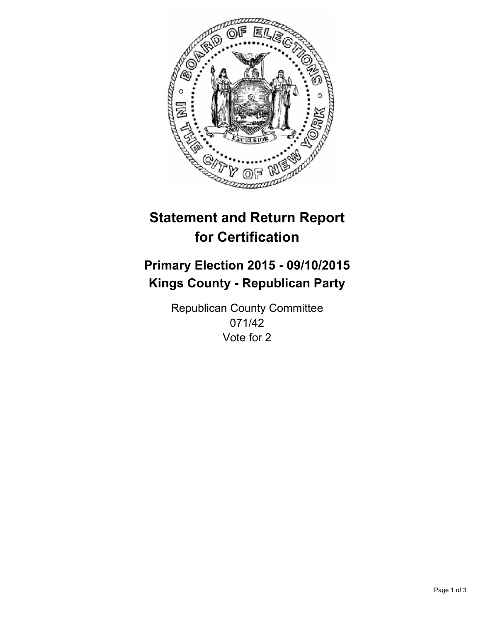

# **Statement and Return Report for Certification**

## **Primary Election 2015 - 09/10/2015 Kings County - Republican Party**

Republican County Committee 071/42 Vote for 2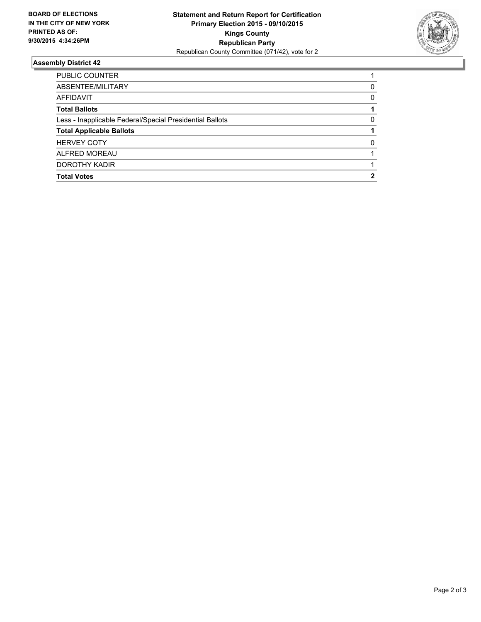

### **Assembly District 42**

| PUBLIC COUNTER                                           |              |
|----------------------------------------------------------|--------------|
| ABSENTEE/MILITARY                                        | 0            |
| AFFIDAVIT                                                | 0            |
| <b>Total Ballots</b>                                     |              |
| Less - Inapplicable Federal/Special Presidential Ballots | 0            |
| <b>Total Applicable Ballots</b>                          |              |
| <b>HERVEY COTY</b>                                       | <sup>0</sup> |
| ALFRED MOREAU                                            |              |
| DOROTHY KADIR                                            |              |
| <b>Total Votes</b>                                       | 2            |